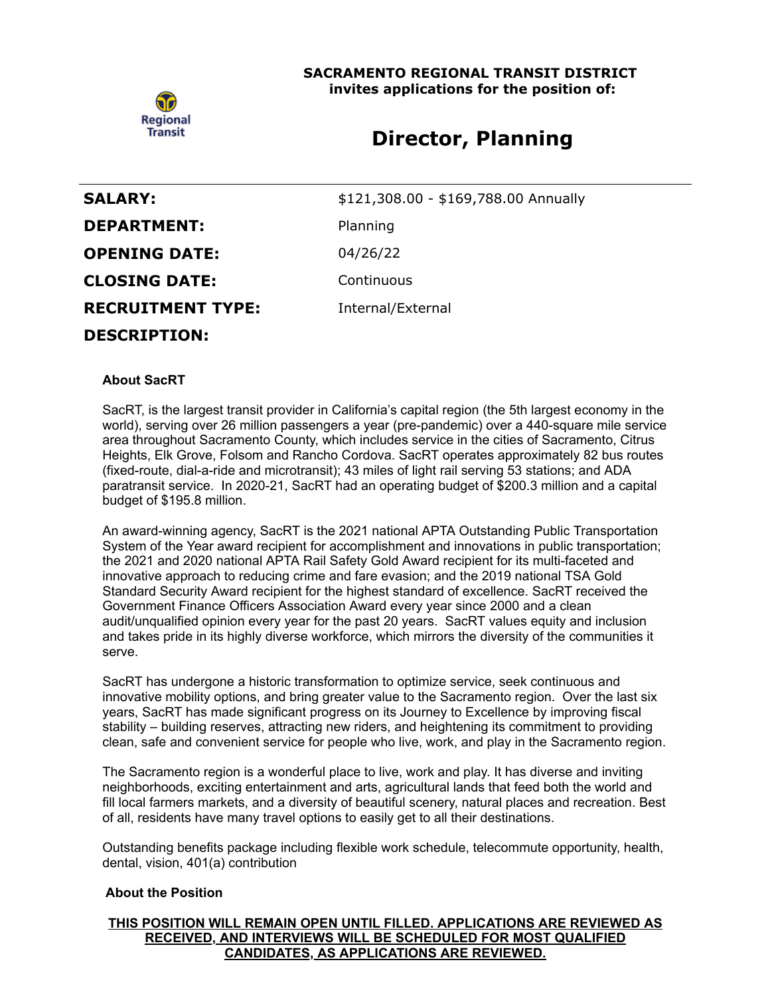

### **SACRAMENTO REGIONAL TRANSIT DISTRICT invites applications for the position of:**

# **Director, Planning**

| <b>SALARY:</b>           | \$121,308.00 - \$169,788.00 Annually |
|--------------------------|--------------------------------------|
| <b>DEPARTMENT:</b>       | Planning                             |
| <b>OPENING DATE:</b>     | 04/26/22                             |
| <b>CLOSING DATE:</b>     | Continuous                           |
| <b>RECRUITMENT TYPE:</b> | Internal/External                    |
| <b>DESCRIPTION:</b>      |                                      |

#### **About SacRT**

SacRT, is the largest transit provider in California's capital region (the 5th largest economy in the world), serving over 26 million passengers a year (pre-pandemic) over a 440-square mile service area throughout Sacramento County, which includes service in the cities of Sacramento, Citrus Heights, Elk Grove, Folsom and Rancho Cordova. SacRT operates approximately 82 bus routes (fixed-route, dial-a-ride and microtransit); 43 miles of light rail serving 53 stations; and ADA paratransit service. In 2020-21, SacRT had an operating budget of \$200.3 million and a capital budget of \$195.8 million.

An award-winning agency, SacRT is the 2021 national APTA Outstanding Public Transportation System of the Year award recipient for accomplishment and innovations in public transportation; the 2021 and 2020 national APTA Rail Safety Gold Award recipient for its multi-faceted and innovative approach to reducing crime and fare evasion; and the 2019 national TSA Gold Standard Security Award recipient for the highest standard of excellence. SacRT received the Government Finance Officers Association Award every year since 2000 and a clean audit/unqualified opinion every year for the past 20 years. SacRT values equity and inclusion and takes pride in its highly diverse workforce, which mirrors the diversity of the communities it serve.

SacRT has undergone a historic transformation to optimize service, seek continuous and innovative mobility options, and bring greater value to the Sacramento region. Over the last six years, SacRT has made significant progress on its Journey to Excellence by improving fiscal stability – building reserves, attracting new riders, and heightening its commitment to providing clean, safe and convenient service for people who live, work, and play in the Sacramento region.

The Sacramento region is a wonderful place to live, work and play. It has diverse and inviting neighborhoods, exciting entertainment and arts, agricultural lands that feed both the world and fill local farmers markets, and a diversity of beautiful scenery, natural places and recreation. Best of all, residents have many travel options to easily get to all their destinations.

Outstanding benefits package including flexible work schedule, telecommute opportunity, health, dental, vision, 401(a) contribution

#### **About the Position**

**THIS POSITION WILL REMAIN OPEN UNTIL FILLED. APPLICATIONS ARE REVIEWED AS RECEIVED, AND INTERVIEWS WILL BE SCHEDULED FOR MOST QUALIFIED CANDIDATES, AS APPLICATIONS ARE REVIEWED.**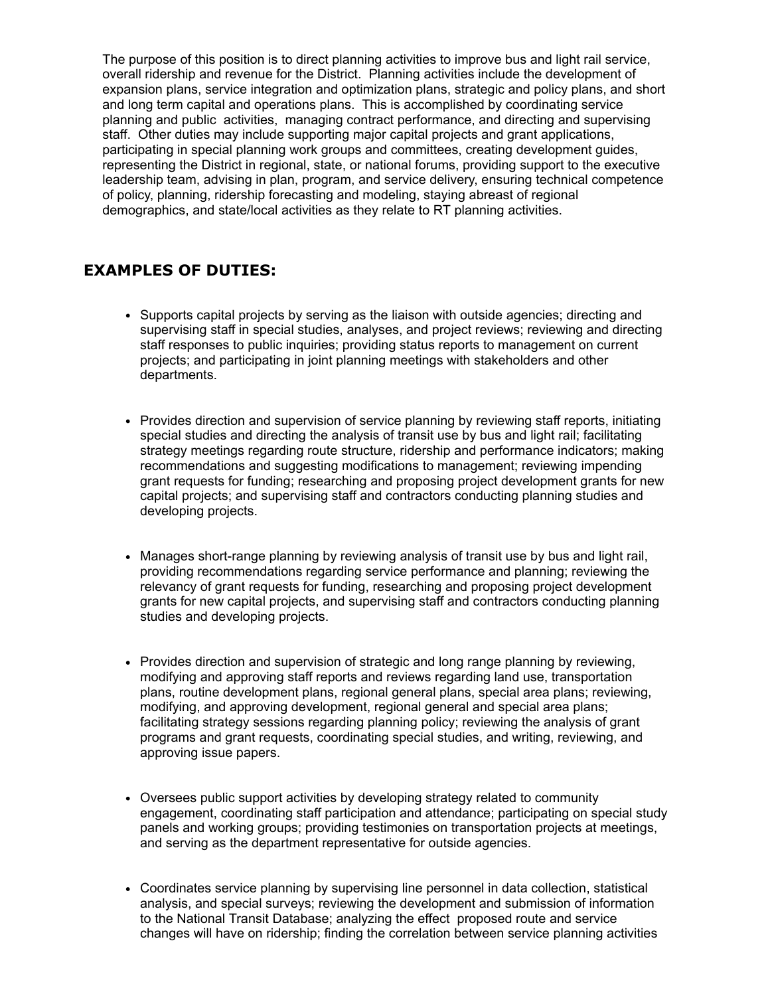The purpose of this position is to direct planning activities to improve bus and light rail service, overall ridership and revenue for the District. Planning activities include the development of expansion plans, service integration and optimization plans, strategic and policy plans, and short and long term capital and operations plans. This is accomplished by coordinating service planning and public activities, managing contract performance, and directing and supervising staff. Other duties may include supporting major capital projects and grant applications, participating in special planning work groups and committees, creating development guides, representing the District in regional, state, or national forums, providing support to the executive leadership team, advising in plan, program, and service delivery, ensuring technical competence of policy, planning, ridership forecasting and modeling, staying abreast of regional demographics, and state/local activities as they relate to RT planning activities.

## **EXAMPLES OF DUTIES:**

- Supports capital projects by serving as the liaison with outside agencies; directing and supervising staff in special studies, analyses, and project reviews; reviewing and directing staff responses to public inquiries; providing status reports to management on current projects; and participating in joint planning meetings with stakeholders and other departments.
- Provides direction and supervision of service planning by reviewing staff reports, initiating special studies and directing the analysis of transit use by bus and light rail; facilitating strategy meetings regarding route structure, ridership and performance indicators; making recommendations and suggesting modifications to management; reviewing impending grant requests for funding; researching and proposing project development grants for new capital projects; and supervising staff and contractors conducting planning studies and developing projects.
- Manages short-range planning by reviewing analysis of transit use by bus and light rail, providing recommendations regarding service performance and planning; reviewing the relevancy of grant requests for funding, researching and proposing project development grants for new capital projects, and supervising staff and contractors conducting planning studies and developing projects.
- Provides direction and supervision of strategic and long range planning by reviewing, modifying and approving staff reports and reviews regarding land use, transportation plans, routine development plans, regional general plans, special area plans; reviewing, modifying, and approving development, regional general and special area plans; facilitating strategy sessions regarding planning policy; reviewing the analysis of grant programs and grant requests, coordinating special studies, and writing, reviewing, and approving issue papers.
- Oversees public support activities by developing strategy related to community engagement, coordinating staff participation and attendance; participating on special study panels and working groups; providing testimonies on transportation projects at meetings, and serving as the department representative for outside agencies.
- Coordinates service planning by supervising line personnel in data collection, statistical analysis, and special surveys; reviewing the development and submission of information to the National Transit Database; analyzing the effect proposed route and service changes will have on ridership; finding the correlation between service planning activities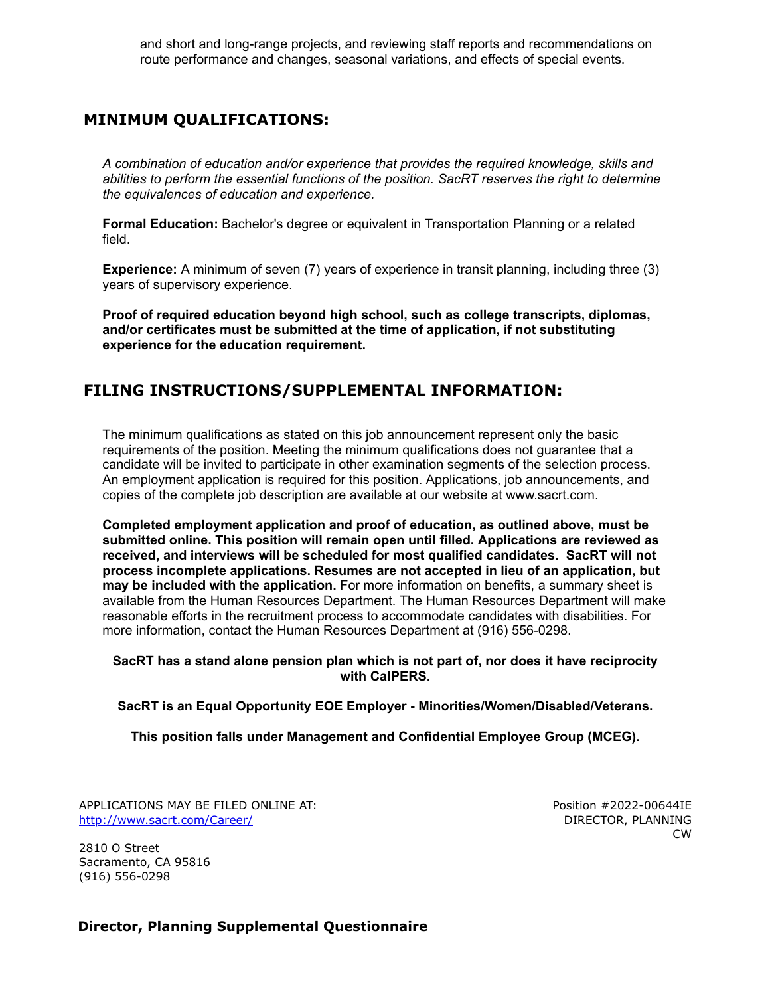and short and long-range projects, and reviewing staff reports and recommendations on route performance and changes, seasonal variations, and effects of special events.

# **MINIMUM QUALIFICATIONS:**

*A combination of education and/or experience that provides the required knowledge, skills and abilities to perform the essential functions of the position. SacRT reserves the right to determine the equivalences of education and experience.*

**Formal Education:** Bachelor's degree or equivalent in Transportation Planning or a related field.

**Experience:** A minimum of seven (7) years of experience in transit planning, including three (3) years of supervisory experience.

**Proof of required education beyond high school, such as college transcripts, diplomas, and/or certificates must be submitted at the time of application, if not substituting experience for the education requirement.**

## **FILING INSTRUCTIONS/SUPPLEMENTAL INFORMATION:**

The minimum qualifications as stated on this job announcement represent only the basic requirements of the position. Meeting the minimum qualifications does not guarantee that a candidate will be invited to participate in other examination segments of the selection process. An employment application is required for this position. Applications, job announcements, and copies of the complete job description are available at our website at www.sacrt.com.

**Completed employment application and proof of education, as outlined above, must be submitted online. This position will remain open until filled. Applications are reviewed as received, and interviews will be scheduled for most qualified candidates. SacRT will not process incomplete applications. Resumes are not accepted in lieu of an application, but may be included with the application.** For more information on benefits, a summary sheet is available from the Human Resources Department. The Human Resources Department will make reasonable efforts in the recruitment process to accommodate candidates with disabilities. For more information, contact the Human Resources Department at (916) 556-0298.

#### **SacRT has a stand alone pension plan which is not part of, nor does it have reciprocity with CalPERS.**

**SacRT is an Equal Opportunity EOE Employer - Minorities/Women/Disabled/Veterans.**

**This position falls under Management and Confidential Employee Group (MCEG).**

APPLICATIONS MAY BE FILED ONLINE AT: <http://www.sacrt.com/Career/>

2810 O Street Sacramento, CA 95816 (916) 556-0298

Position #2022-00644IE DIRECTOR, PLANNING CW